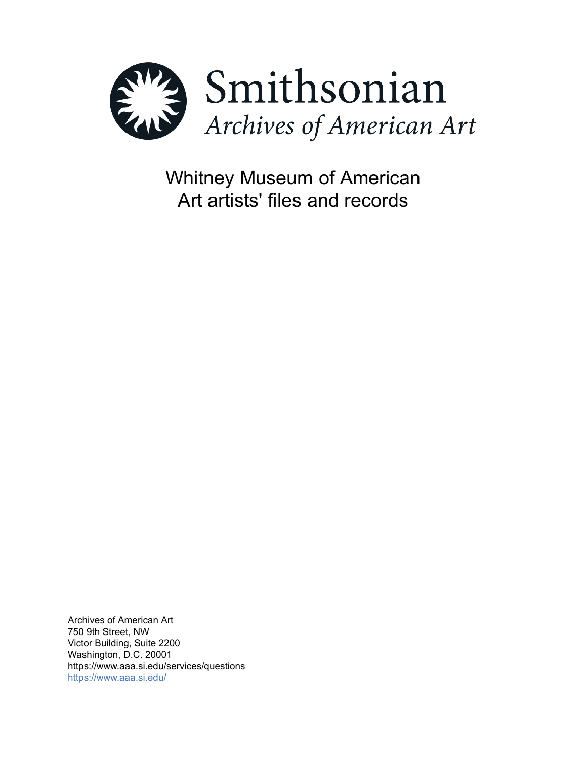

Whitney Museum of American Art artists' files and records

Archives of American Art 750 9th Street, NW Victor Building, Suite 2200 Washington, D.C. 20001 https://www.aaa.si.edu/services/questions <https://www.aaa.si.edu/>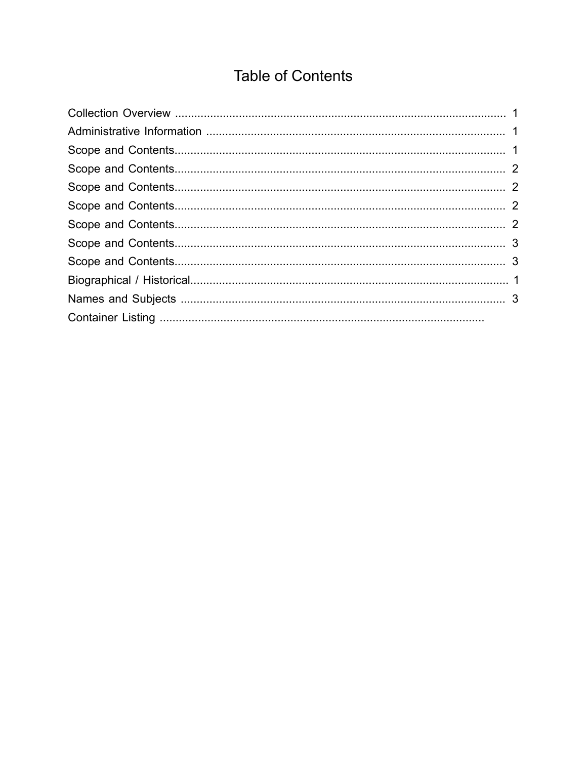# **Table of Contents**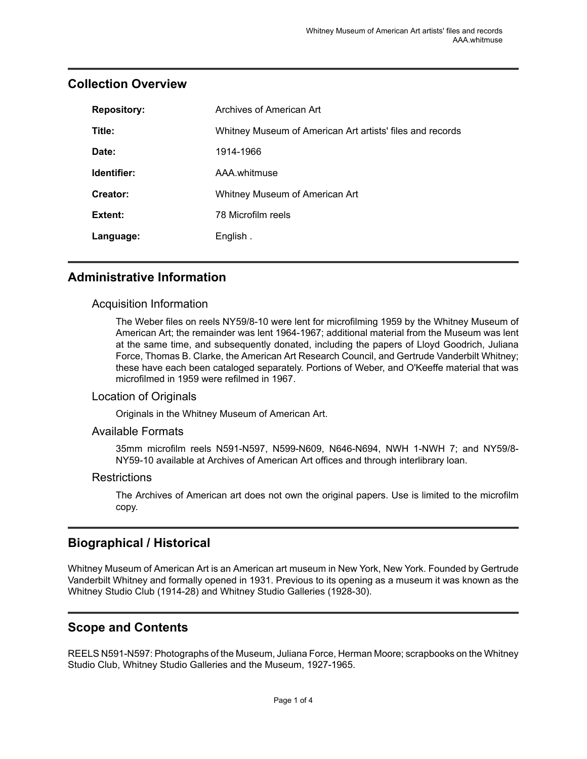| <b>Repository:</b> | Archives of American Art                                  |
|--------------------|-----------------------------------------------------------|
| Title:             | Whitney Museum of American Art artists' files and records |
| Date:              | 1914-1966                                                 |
| Identifier:        | AAA.whitmuse                                              |
| Creator:           | Whitney Museum of American Art                            |
| Extent:            | 78 Microfilm reels                                        |
| Language:          | English.                                                  |

### <span id="page-2-0"></span>**Collection Overview**

### <span id="page-2-1"></span>**Administrative Information**

#### Acquisition Information

The Weber files on reels NY59/8-10 were lent for microfilming 1959 by the Whitney Museum of American Art; the remainder was lent 1964-1967; additional material from the Museum was lent at the same time, and subsequently donated, including the papers of Lloyd Goodrich, Juliana Force, Thomas B. Clarke, the American Art Research Council, and Gertrude Vanderbilt Whitney; these have each been cataloged separately. Portions of Weber, and O'Keeffe material that was microfilmed in 1959 were refilmed in 1967.

#### Location of Originals

Originals in the Whitney Museum of American Art.

#### Available Formats

35mm microfilm reels N591-N597, N599-N609, N646-N694, NWH 1-NWH 7; and NY59/8- NY59-10 available at Archives of American Art offices and through interlibrary loan.

#### Restrictions

The Archives of American art does not own the original papers. Use is limited to the microfilm copy.

### <span id="page-2-3"></span>**Biographical / Historical**

Whitney Museum of American Art is an American art museum in New York, New York. Founded by Gertrude Vanderbilt Whitney and formally opened in 1931. Previous to its opening as a museum it was known as the Whitney Studio Club (1914-28) and Whitney Studio Galleries (1928-30).

### <span id="page-2-2"></span>**Scope and Contents**

REELS N591-N597: Photographs of the Museum, Juliana Force, Herman Moore; scrapbooks on the Whitney Studio Club, Whitney Studio Galleries and the Museum, 1927-1965.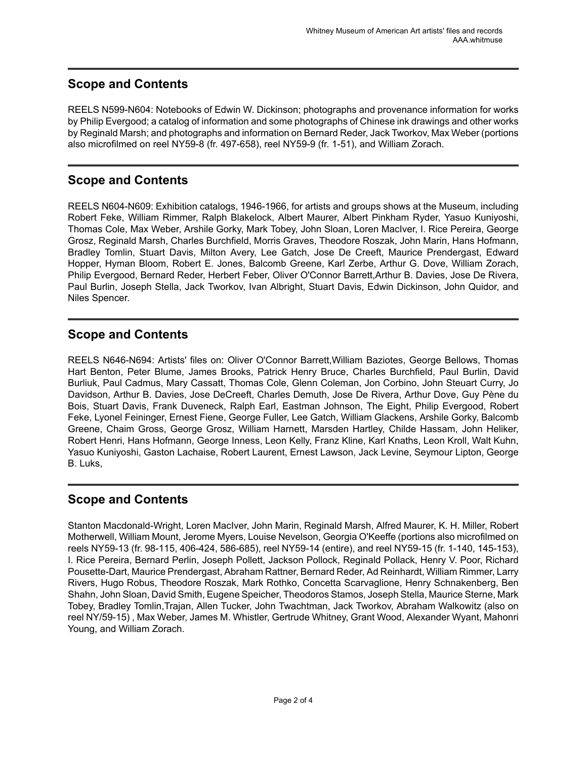# <span id="page-3-0"></span>**Scope and Contents**

REELS N599-N604: Notebooks of Edwin W. Dickinson; photographs and provenance information for works by Philip Evergood; a catalog of information and some photographs of Chinese ink drawings and other works by Reginald Marsh; and photographs and information on Bernard Reder, Jack Tworkov, Max Weber (portions) also microfilmed on reel NY59-8 (fr. 497-658), reel NY59-9 (fr. 1-51), and William Zorach.

# <span id="page-3-1"></span>**Scope and Contents**

REELS N604-N609: Exhibition catalogs, 1946-1966, for artists and groups shows at the Museum, including Robert Feke, William Rimmer, Ralph Blakelock, Albert Maurer, Albert Pinkham Ryder, Yasuo Kuniyoshi, Thomas Cole, Max Weber, Arshile Gorky, Mark Tobey, John Sloan, Loren MacIver, I. Rice Pereira, George Grosz, Reginald Marsh, Charles Burchfield, Morris Graves, Theodore Roszak, John Marin, Hans Hofmann, Bradley Tomlin, Stuart Davis, Milton Avery, Lee Gatch, Jose De Creeft, Maurice Prendergast, Edward Hopper, Hyman Bloom, Robert E. Jones, Balcomb Greene, Karl Zerbe, Arthur G. Dove, William Zorach, Philip Evergood, Bernard Reder, Herbert Feber, Oliver O'Connor Barrett,Arthur B. Davies, Jose De Rivera, Paul Burlin, Joseph Stella, Jack Tworkov, Ivan Albright, Stuart Davis, Edwin Dickinson, John Quidor, and Niles Spencer.

# <span id="page-3-2"></span>**Scope and Contents**

REELS N646-N694: Artists' files on: Oliver O'Connor Barrett,William Baziotes, George Bellows, Thomas Hart Benton, Peter Blume, James Brooks, Patrick Henry Bruce, Charles Burchfield, Paul Burlin, David Burliuk, Paul Cadmus, Mary Cassatt, Thomas Cole, Glenn Coleman, Jon Corbino, John Steuart Curry, Jo Davidson, Arthur B. Davies, Jose DeCreeft, Charles Demuth, Jose De Rivera, Arthur Dove, Guy Pène du Bois, Stuart Davis, Frank Duveneck, Ralph Earl, Eastman Johnson, The Eight, Philip Evergood, Robert Feke, Lyonel Feininger, Ernest Fiene, George Fuller, Lee Gatch, William Glackens, Arshile Gorky, Balcomb Greene, Chaim Gross, George Grosz, William Harnett, Marsden Hartley, Childe Hassam, John Heliker, Robert Henri, Hans Hofmann, George Inness, Leon Kelly, Franz Kline, Karl Knaths, Leon Kroll, Walt Kuhn, Yasuo Kuniyoshi, Gaston Lachaise, Robert Laurent, Ernest Lawson, Jack Levine, Seymour Lipton, George B. Luks,

# <span id="page-3-3"></span>**Scope and Contents**

Stanton Macdonald-Wright, Loren MacIver, John Marin, Reginald Marsh, Alfred Maurer, K. H. Miller, Robert Motherwell, William Mount, Jerome Myers, Louise Nevelson, Georgia O'Keeffe (portions also microfilmed on reels NY59-13 (fr. 98-115, 406-424, 586-685), reel NY59-14 (entire), and reel NY59-15 (fr. 1-140, 145-153), I. Rice Pereira, Bernard Perlin, Joseph Pollett, Jackson Pollock, Reginald Pollack, Henry V. Poor, Richard Pousette-Dart, Maurice Prendergast, Abraham Rattner, Bernard Reder, Ad Reinhardt, William Rimmer,Larry Rivers, Hugo Robus, Theodore Roszak, Mark Rothko, Concetta Scarvaglione, Henry Schnakenberg, Ben Shahn, John Sloan, David Smith, Eugene Speicher, Theodoros Stamos, Joseph Stella, Maurice Sterne, Mark Tobey, Bradley Tomlin,Trajan, Allen Tucker, John Twachtman, Jack Tworkov, Abraham Walkowitz (also on reel NY/59-15) , Max Weber, James M. Whistler, Gertrude Whitney, Grant Wood, Alexander Wyant, Mahonri Young, and William Zorach.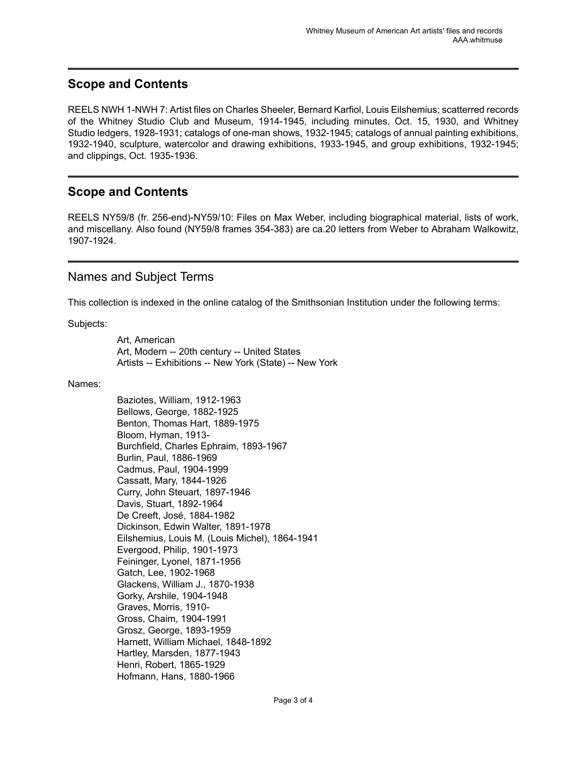# <span id="page-4-0"></span>**Scope and Contents**

REELS NWH 1-NWH 7: Artist files on Charles Sheeler, Bernard Karfiol, Louis Eilshemius; scatterred records of the Whitney Studio Club and Museum, 1914-1945, including minutes, Oct. 15, 1930, and Whitney Studio ledgers, 1928-1931; catalogs of one-man shows, 1932-1945; catalogs of annual painting exhibitions, 1932-1940, sculpture, watercolor and drawing exhibitions, 1933-1945, and group exhibitions, 1932-1945; and clippings, Oct. 1935-1936.

### <span id="page-4-1"></span>**Scope and Contents**

REELS NY59/8 (fr. 256-end)-NY59/10: Files on Max Weber, including biographical material, lists of work, and miscellany. Also found (NY59/8 frames 354-383) are ca.20 letters from Weber to Abraham Walkowitz, 1907-1924.

### <span id="page-4-2"></span>Names and Subject Terms

This collection is indexed in the online catalog of the Smithsonian Institution under the following terms:

Subjects:

Art, American Art, Modern -- 20th century -- United States Artists -- Exhibitions -- New York (State) -- New York

#### Names:

Baziotes, William, 1912-1963 Bellows, George, 1882-1925 Benton, Thomas Hart, 1889-1975 Bloom, Hyman, 1913- Burchfield, Charles Ephraim, 1893-1967 Burlin, Paul, 1886-1969 Cadmus, Paul, 1904-1999 Cassatt, Mary, 1844-1926 Curry, John Steuart, 1897-1946 Davis, Stuart, 1892-1964 De Creeft, José, 1884-1982 Dickinson, Edwin Walter, 1891-1978 Eilshemius, Louis M. (Louis Michel), 1864-1941 Evergood, Philip, 1901-1973 Feininger, Lyonel, 1871-1956 Gatch, Lee, 1902-1968 Glackens, William J., 1870-1938 Gorky, Arshile, 1904-1948 Graves, Morris, 1910- Gross, Chaim, 1904-1991 Grosz, George, 1893-1959 Harnett, William Michael, 1848-1892 Hartley, Marsden, 1877-1943 Henri, Robert, 1865-1929 Hofmann, Hans, 1880-1966